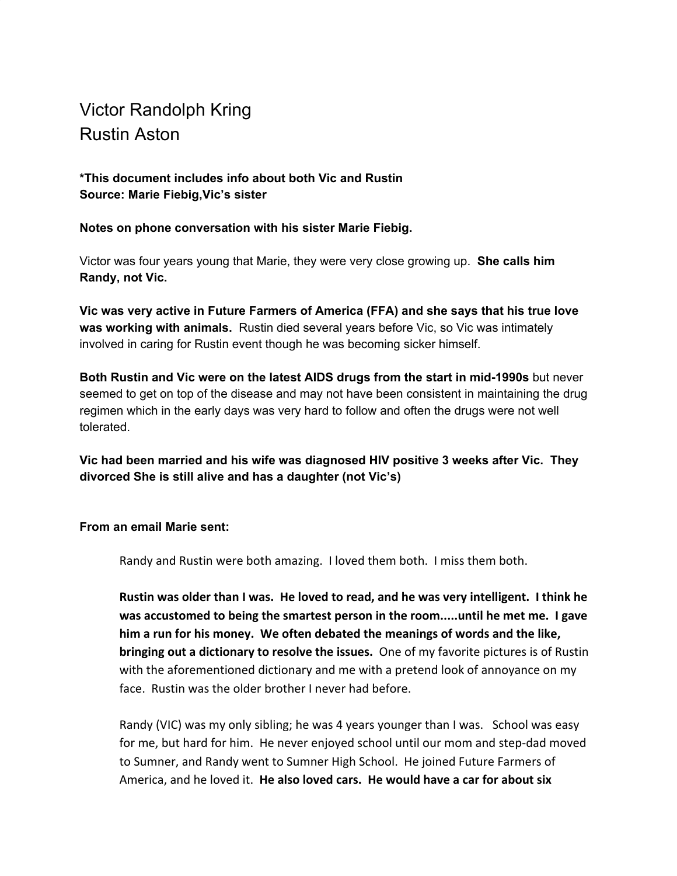## Victor Randolph Kring Rustin Aston

## **\*This document includes info about both Vic and Rustin Source: Marie Fiebig,Vic's sister**

## **Notes on phone conversation with his sister Marie Fiebig.**

Victor was four years young that Marie, they were very close growing up. **She calls him Randy, not Vic.**

**Vic was very active in Future Farmers of America (FFA) and she says that his true love was working with animals.** Rustin died several years before Vic, so Vic was intimately involved in caring for Rustin event though he was becoming sicker himself.

**Both Rustin and Vic were on the latest AIDS drugs from the start in mid-1990s** but never seemed to get on top of the disease and may not have been consistent in maintaining the drug regimen which in the early days was very hard to follow and often the drugs were not well tolerated.

**Vic had been married and his wife was diagnosed HIV positive 3 weeks after Vic. They divorced She is still alive and has a daughter (not Vic's)**

## **From an email Marie sent:**

Randy and Rustin were both amazing. I loved them both. I miss them both.

**Rustin was older than I was. He loved to read, and he was very intelligent. I think he was accustomed to being the smartest person in the room.....until he met me. I gave him a run for his money. We often debated the meanings of words and the like, bringing out a dictionary to resolve the issues.** One of my favorite pictures is of Rustin with the aforementioned dictionary and me with a pretend look of annoyance on my face. Rustin was the older brother I never had before.

Randy (VIC) was my only sibling; he was 4 years younger than I was. School was easy for me, but hard for him. He never enjoyed school until our mom and step-dad moved to Sumner, and Randy went to Sumner High School. He joined Future Farmers of America, and he loved it. **He also loved cars. He would have a car for about six**